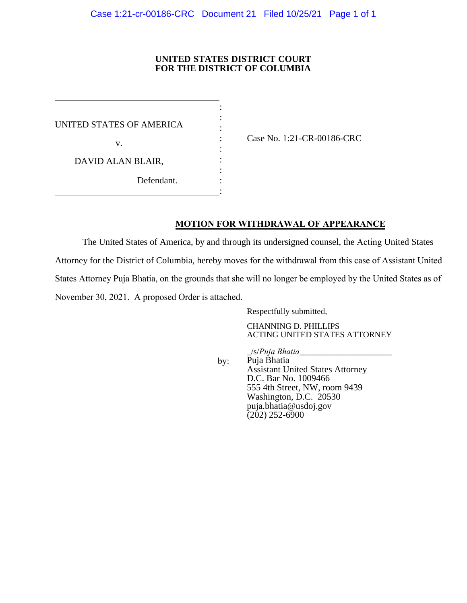## **UNITED STATES DISTRICT COURT FOR THE DISTRICT OF COLUMBIA**

:

: : : UNITED STATES OF AMERICA v. DAVID ALAN BLAIR, : : Defendant. :

: Case No. 1:21-CR-00186-CRC

## **MOTION FOR WITHDRAWAL OF APPEARANCE**

The United States of America, by and through its undersigned counsel, the Acting United States Attorney for the District of Columbia, hereby moves for the withdrawal from this case of Assistant United States Attorney Puja Bhatia, on the grounds that she will no longer be employed by the United States as of November 30, 2021. A proposed Order is attached.

Respectfully submitted,

CHANNING D. PHILLIPS ACTING UNITED STATES ATTORNEY

by:

\_/s/*Puja Bhatia*\_\_\_\_\_\_\_\_\_\_\_\_\_\_\_\_\_\_\_\_\_\_ Puja Bhatia Assistant United States Attorney D.C. Bar No. 1009466 555 4th Street, NW, room 9439 Washington, D.C. 20530 puja.bhatia@usdoj.gov  $(202)$  252-6900